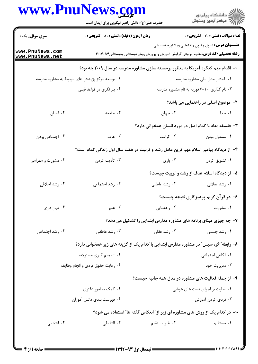## www.PnuNews.com

|                                                                               | www.PnuNews.com<br>حضرت علی(ع): دانش راهبر نیکویی برای ایمان است                       |                                             | ڪ دانشڪاه پيام نور<br>/> مرڪز آزمون وسنڊش                                                                                                          |  |
|-------------------------------------------------------------------------------|----------------------------------------------------------------------------------------|---------------------------------------------|----------------------------------------------------------------------------------------------------------------------------------------------------|--|
| <b>سری سوال :</b> یک ۱                                                        | <b>زمان آزمون (دقیقه) : تستی : 50 ٪ تشریحی : 0</b>                                     |                                             | تعداد سوالات : تستي : 30 ٪ تشريحي : 0                                                                                                              |  |
| www.PnuNews.com<br>www.PnuNews.net                                            |                                                                                        |                                             | <b>عنـــوان درس:</b> اصول وفنون راهنمایی ومشاوره تحصیلی<br><b>رشته تحصیلی/کد درس:</b> علوم تربیتی گرایش آموزش و پرورش پیش دبستانی ودبستانی4۵۲۱۷۰۵۲ |  |
|                                                                               | ۱– اقدام مهم کنگره آمریکا به منظور برجسته سازی مشاوره مدرسه در سال ۲۰۰۹ چه بود؟        |                                             |                                                                                                                                                    |  |
|                                                                               | ۰۲ توسعه مرکز پژوهش های مربوط به مشاوره مدرسه                                          |                                             | ۰۱ انتشار مدل ملی مشاوره مدرسه                                                                                                                     |  |
|                                                                               | ۰۴ باز نگری در قواعد قبلی                                                              | ۰۳ نام گذاری ۱۰-۶ فوریه به نام مشاوره مدرسه |                                                                                                                                                    |  |
|                                                                               |                                                                                        |                                             | <b>۲</b> - موضوع اصلی در راهنمایی می باشد؟                                                                                                         |  |
| ۰۴ انسان                                                                      | ۰۳ جامعه                                                                               | ۰۲ جهان                                     | ۰۱. خدا                                                                                                                                            |  |
|                                                                               |                                                                                        |                                             | ۳– فلسفه معاد با کدام اصل در مورد انسان همخوانی دارد؟                                                                                              |  |
| ۰۴ اجتماعی بودن                                                               | ۰۳ عزت                                                                                 | ۰۲ کرامت                                    | ٠١ مسئول بودن                                                                                                                                      |  |
|                                                                               | ۴– از دیدگاه پیامبر اسلام مهم ترین عامل رشد و تربیت در هفت سال اول زندگی کدام است؟     |                                             |                                                                                                                                                    |  |
| ۰۴ مشورت و همراهی                                                             | ۰۳ تأديب كردن                                                                          | ۰۲ بازی                                     | ۰۱ تشویق کردن                                                                                                                                      |  |
|                                                                               |                                                                                        |                                             | ۵– از دیدگاه اسلام هدف از رشد و تربیت چیست؟                                                                                                        |  |
| ۰۴ رشد اخلاقی                                                                 | ۰۳ رشد اجتماعی                                                                         | ۰۲ رشد عاطفی                                | ۰۱ رشد عقلانی                                                                                                                                      |  |
|                                                                               |                                                                                        |                                             | ۶– در قرآن کریم پرهیزگاری نتیجه چیست؟                                                                                                              |  |
| ۰۴ دین داری                                                                   | ۰۳ علم                                                                                 | ۰۲ راهنمایی                                 | ۰۱ مشورت                                                                                                                                           |  |
|                                                                               |                                                                                        |                                             | ۷- چه چیزی مبنای برنامه های مشاوره مدارس ابتدایی را تشکیل می دهد؟                                                                                  |  |
| ۰۴ رشد اجتماعی                                                                | ۰۳ رشد عاطفی                                                                           | ۰۲ رشد عقلی                                 | ۰۱ رشد جسمی                                                                                                                                        |  |
|                                                                               | ۸– رابطه ّاگر، سپس ّ در مشاوره مدارس ابتدایی با کدام یک از گزینه های زیر همخوانی دارد؟ |                                             |                                                                                                                                                    |  |
|                                                                               | ۰۲ تصمیم گیری مسئولانه                                                                 |                                             | ۰۱ آگاهی اجتماعی                                                                                                                                   |  |
|                                                                               | ۰۴ رعايت حقوق فردي و انجام وظايف                                                       |                                             | ۰۳ مدیریت خود                                                                                                                                      |  |
|                                                                               |                                                                                        |                                             | ۹- از جمله فعالیت های مشاوره در مدل همه جانبه چیست؟                                                                                                |  |
|                                                                               | ۰۲ کمک به امور دفتری                                                                   |                                             | ۰۱ نظارت بر اجرای تست های هوشی                                                                                                                     |  |
|                                                                               | ۰۴ فهرست بندی دانش آموزان                                                              |                                             | ۰۳ فردی کردن آموزش                                                                                                                                 |  |
| ۱۰– در کدام یک از روش های مشاوره ای زیر از ً انعکاس گفته ها ً استفاده می شود؟ |                                                                                        |                                             |                                                                                                                                                    |  |
| ۰۴ انتخابی                                                                    | ۰۳ التقاطی                                                                             | ۰۲ غیر مستقیم                               | ۰۱ مستقیم                                                                                                                                          |  |
|                                                                               |                                                                                        |                                             |                                                                                                                                                    |  |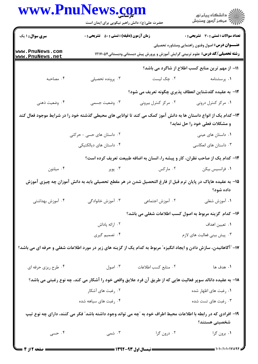| www.PnuNews.com                                                                                                    | حضرت علی(ع): دانش راهبر نیکویی برای ایمان است      |                                                                                                                  | ڪ دانشڪاه پيام نور<br>//> مرکز آزمون وسنجش                                                                                                        |
|--------------------------------------------------------------------------------------------------------------------|----------------------------------------------------|------------------------------------------------------------------------------------------------------------------|---------------------------------------------------------------------------------------------------------------------------------------------------|
| <b>سری سوال : ۱ ی</b> ک                                                                                            | <b>زمان آزمون (دقیقه) : تستی : 50 ٪ تشریحی : 0</b> |                                                                                                                  | تعداد سوالات : تستى : 30 قشريحى : 0                                                                                                               |
| www.PnuNews.com<br>www.PnuNews.net                                                                                 |                                                    |                                                                                                                  | <b>عنـــوان درس:</b> اصول وفنون راهنمایی ومشاوره تحصیلی<br><b>رشته تحصیلی/کد درس:</b> علوم تربیتی گرایش آموزش و پرورش پیش دبستانی ودبستانی1۲۱۷۰۵۴ |
|                                                                                                                    |                                                    |                                                                                                                  | 11- از مهم ترین منابع کسب اطلاع از شاگرد می باشد؟                                                                                                 |
| ۰۴ مصاحبه                                                                                                          | ۰۳ پرونده تحصیلی                                   | ٠٢ چک ليست                                                                                                       | ۰۱ پرسشنامه                                                                                                                                       |
|                                                                                                                    |                                                    | 12- به عقیده گلدشتاین انعطاف پذیری چگونه تعریف می شود؟                                                           |                                                                                                                                                   |
| ۰۴ وضعیت ذهنی                                                                                                      | ۰۳ وضعیت جسمی                                      | ۰۲ مرکز کنترل بیرونی                                                                                             | ۰۱ مرکز کنترل درونی                                                                                                                               |
|                                                                                                                    |                                                    | ۱۳– کدام یک از انواع داستان ها به دانش آموز کمک می کند تا توانایی های محیطی گذشته خود را در شرایط موجود فعال کند | و مشکلات فعلی خود را حل نماید؟                                                                                                                    |
|                                                                                                                    | ۰۲ داستان های حسی - حرکتی                          |                                                                                                                  | ۰۱ داستان های عینی                                                                                                                                |
|                                                                                                                    | ۰۴ داستان های دیالکتیکی                            |                                                                                                                  | ۰۳ داستان های انعکاسی                                                                                                                             |
|                                                                                                                    |                                                    | ۱۴- کدام یک از صاحب نظران، کار و پیشه را، انسان به اضافه طبیعت تعریف کرده است؟                                   |                                                                                                                                                   |
| ۰۴ میلتون                                                                                                          | ۰۳ پوپر                                            | ۰۲ مارکس                                                                                                         | ٠١ فرانسيس بيكن                                                                                                                                   |
|                                                                                                                    |                                                    | ۱۵– به عقیده هاپاک در پایان ترم قبل از فارغ التحصیل شدن در هر مقطع تحصیلی باید به دانش آموزان چه چیزی آموزش      | داده شود؟                                                                                                                                         |
|                                                                                                                    |                                                    | ۰۲ آموزش اجتماعی                                                                                                 | ۰۱ آموزش شغلی                                                                                                                                     |
|                                                                                                                    |                                                    | ۱۶– کدام گزینه مربوط به اصول کسب اطلاعات شغلی می باشد؟                                                           |                                                                                                                                                   |
|                                                                                                                    | ۰۲ ارائه پاداش                                     |                                                                                                                  | ٠١. تعيين اهداف                                                                                                                                   |
|                                                                                                                    | ۰۴ تصمیم گیری                                      |                                                                                                                  | ۰۳ پیش بینی فعالیت های لازم                                                                                                                       |
| ۱۷– آگاهانیدن، سازش دادن و ایجاد انگیزه" مربوط به کدام یک از گزینه های زیر در مورد اطلاعات شغلی و حرفه ای می باشد؟ |                                                    |                                                                                                                  |                                                                                                                                                   |
| ۰۴ طرح ریزی حرفه ای                                                                                                | ۰۳ اصول                                            | ۰۲ منابع کسب اطلاعات                                                                                             | <b>۱.</b> هدف ها                                                                                                                                  |
|                                                                                                                    |                                                    | ۱۸– به عقیده دانالد سوپر فعالیت هایی که از طریق آن فرد علایق واقعی خود را آشکار می کند، چه نوع رغبتی می باشد؟    |                                                                                                                                                   |
|                                                                                                                    | ۰۲ رغبت های آشکار                                  |                                                                                                                  | ۰۱ رغبت های اظهار شده                                                                                                                             |
|                                                                                                                    | ۰۴ رغبت های سیاهه شده                              |                                                                                                                  | ۰۳ رغبت های تست شده                                                                                                                               |
|                                                                                                                    |                                                    | ۱۹– افرادی که در رابطه با اطلاعات محیط اطراف خود به ″چه می تواند وجود داشته باشد″ فکر می کنند، دارای چه نوع تیپ  | شخصیتی هستند؟                                                                                                                                     |
| ۰۴ حسی                                                                                                             | ۰۳ شمی                                             | ۰۲ درون گرا                                                                                                      | ۰۱ برون گرا                                                                                                                                       |
| <b>۔ صفحه 2 از 4</b>                                                                                               |                                                    | ـــ نیمسال اول ۹۳-۱۳۹۲ ــ                                                                                        | = 1・1・/1・1・1789F                                                                                                                                  |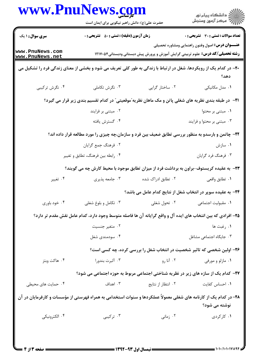|                                                                                                                   | www.PnuNews.com<br>حضرت علی(ع): دانش راهبر نیکویی برای ایمان است                                              |                                                                                        | ڪ دانشڪاه پيام نور<br>ر∕⊂ مرڪز آزمون وسنڊش              |
|-------------------------------------------------------------------------------------------------------------------|---------------------------------------------------------------------------------------------------------------|----------------------------------------------------------------------------------------|---------------------------------------------------------|
| <b>سری سوال : ۱ یک</b>                                                                                            | <b>زمان آزمون (دقیقه) : تستی : 50 ٪ تشریحی : 0</b>                                                            |                                                                                        | <b>تعداد سوالات : تستی : 30 ٪ تشریحی : 0</b>            |
| www.PnuNews.com<br>www.PnuNews.net                                                                                |                                                                                                               | <b>رشته تحصیلی/کد درس:</b> علوم تربیتی گرایش آموزش و پرورش پیش دبستانی ودبستانی1۲۱۷۰۵۴ | <b>عنـــوان درس:</b> اصول وفنون راهنمایی ومشاوره تحصیلی |
| +۲- در کدام یک از رویکردها، شغل در ارتباط با زندگی به طور کلی تعریف می شود و بخشی از معنای زندگی فرد را تشکیل می  |                                                                                                               |                                                                                        | دهد؟                                                    |
| ۰۴ نگرش ترکیبی                                                                                                    | ۰۳ نگرش تکاملی                                                                                                | ۰۲ ساختار گرایی                                                                        | ۰۱ مدل مکانیکی                                          |
|                                                                                                                   | <b>۲۱</b> - در طبقه بندی نظریه های شغلی پاتن و مک ماهان نظریه ّموقعیتی ّ در کدام تقسیم بندی زیر قرار می گیرد؟ |                                                                                        |                                                         |
|                                                                                                                   | ۰۲ مبتنی بر فرایند                                                                                            |                                                                                        | ۰۱ مبتنی بر محتوا                                       |
|                                                                                                                   | ۰۴ گسترش يافته                                                                                                |                                                                                        | ۰۳ مبتنی بر محتوا و فرایند                              |
|                                                                                                                   | ۲۲- چاتمن و بارسدو به منظور بررسی تطابق ضعیف بین فرد و سازمان،چه چیزی را مورد مطالعه قرار داده اند؟           |                                                                                        |                                                         |
|                                                                                                                   | ۰۲ فرهنگ جمع گرايان                                                                                           |                                                                                        | ۰۱ سازش                                                 |
|                                                                                                                   | ۰۴ رابطه بین فرهنگ، تطابق و تغییر                                                                             |                                                                                        | ۰۳ فرهنگ فرد گرايان                                     |
|                                                                                                                   | ۲۳- به عقیده کریستوف-براون به برداشت فرد از میزان تطابق موجود با محیط کارش چه می گویند؟                       |                                                                                        |                                                         |
| ۰۴ تغییر                                                                                                          | ۰۳ جامعه پذیری                                                                                                | ۰۲ تطابق ادراک شده                                                                     | ٠١. تطابق واقعي                                         |
|                                                                                                                   |                                                                                                               | <b>3۴</b> – به عقیده سوپر در انتخاب شغل از نتایج کدام عامل می باشد؟                    |                                                         |
| ۰۴ خود باوري                                                                                                      | ۰۳ تکامل و بلوغ شغلی                                                                                          | ۰۲ تحول شغلی                                                                           | ٠١. مقبوليت اجتماعي                                     |
|                                                                                                                   | ۲۵– افرادی که بین انتخاب های ایده آل و واقع گرایانه آن ها فاصله متوسط وجود دارد، کدام عامل نقش مقدم تر دارد؟  |                                                                                        |                                                         |
|                                                                                                                   | ۰۲ متغیر جنسیت                                                                                                |                                                                                        | ٠١. رغبت ها                                             |
|                                                                                                                   | ۰۴ سودمندی شغل                                                                                                |                                                                                        | ٠٣ جايكاه اجتماعى مشاغل                                 |
|                                                                                                                   |                                                                                                               | ۲۶- اولین شخصی که تاثیر شخصیت در انتخاب شغل را بررسی کرده، چه کسی است؟                 |                                                         |
| ۰۴ هاکت وبتز                                                                                                      | ۰۳ آلبرت بندورا                                                                                               | ۰۲ آنا رو                                                                              | ۰۱ مازلو و مورفی                                        |
|                                                                                                                   | ۲۷- کدام یک از سازه های زیر در نظریه شناختی اجتماعی مربوط به حوزه اجتماعی می شود؟                             |                                                                                        |                                                         |
| ۰۴ حمایت های محیطی                                                                                                | ۰۳ اهداف                                                                                                      | ۰۲ انتظار از نتایج                                                                     | ٠١. احساس كفايت                                         |
| ۲۸– در کدام یک از کارنامه های شغلی معمولاً عملکردها و سنوات استخدامی به همراه فهرستی از مؤسسات و کارفرمایان در آن |                                                                                                               |                                                                                        | نوشته می شود؟                                           |
| ۰۴ الكترونيكي                                                                                                     | ۰۳ ترکیبی                                                                                                     | ۰۲ زمانی                                                                               | ۰۱ کارگردی                                              |